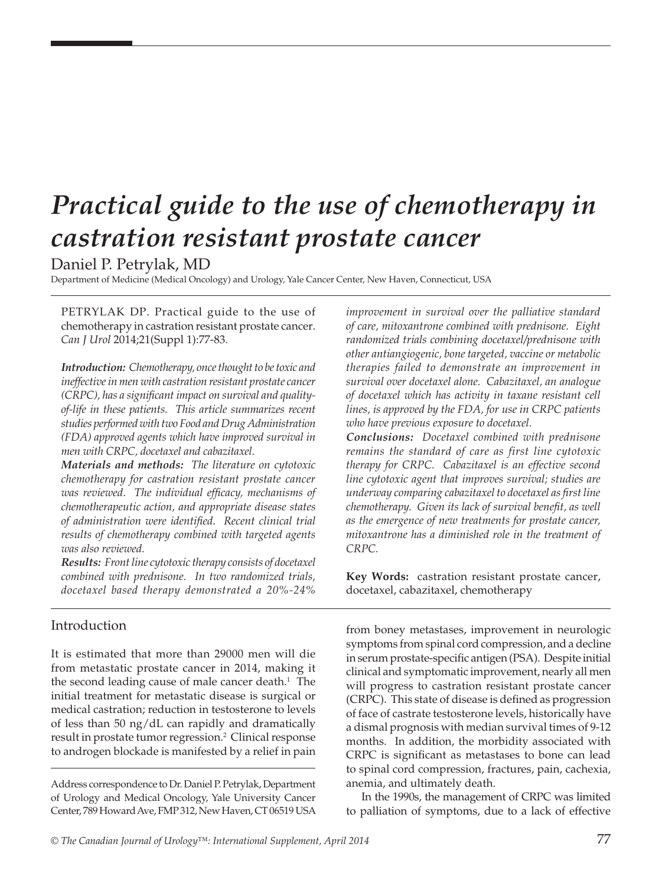# *Practical guide to the use of chemotherapy in castration resistant prostate cancer*

Daniel P. Petrylak, MD

Department of Medicine (Medical Oncology) and Urology, Yale Cancer Center, New Haven, Connecticut, USA

PETRYLAK DP. Practical guide to the use of chemotherapy in castration resistant prostate cancer. *Can J Urol* 2014;21(Suppl 1):77-83.

*Introduction: Chemotherapy, once thought to be toxic and ineffective in men with castration resistant prostate cancer (CRPC), has a significant impact on survival and qualityof-life in these patients. This article summarizes recent studies performed with two Food and Drug Administration (FDA) approved agents which have improved survival in men with CRPC, docetaxel and cabazitaxel.* 

*Materials and methods: The literature on cytotoxic chemotherapy for castration resistant prostate cancer was reviewed. The individual efficacy, mechanisms of chemotherapeutic action, and appropriate disease states of administration were identified. Recent clinical trial results of chemotherapy combined with targeted agents was also reviewed.* 

*Results: Front line cytotoxic therapy consists of docetaxel combined with prednisone. In two randomized trials, docetaxel based therapy demonstrated a 20%-24%* 

# Introduction

It is estimated that more than 29000 men will die from metastatic prostate cancer in 2014, making it the second leading cause of male cancer death.<sup>1</sup> The initial treatment for metastatic disease is surgical or medical castration; reduction in testosterone to levels of less than 50 ng/dL can rapidly and dramatically result in prostate tumor regression.<sup>2</sup> Clinical response to androgen blockade is manifested by a relief in pain

Address correspondence to Dr. Daniel P. Petrylak, Department of Urology and Medical Oncology, Yale University Cancer Center, 789 Howard Ave, FMP 312, New Haven, CT 06519 USA

*improvement in survival over the palliative standard of care, mitoxantrone combined with prednisone. Eight randomized trials combining docetaxel/prednisone with other antiangiogenic, bone targeted, vaccine or metabolic therapies failed to demonstrate an improvement in survival over docetaxel alone. Cabazitaxel, an analogue of docetaxel which has activity in taxane resistant cell lines, is approved by the FDA, for use in CRPC patients who have previous exposure to docetaxel.*

*Conclusions: Docetaxel combined with prednisone remains the standard of care as first line cytotoxic therapy for CRPC. Cabazitaxel is an effective second line cytotoxic agent that improves survival; studies are underway comparing cabazitaxel to docetaxel as first line chemotherapy. Given its lack of survival benefit, as well as the emergence of new treatments for prostate cancer, mitoxantrone has a diminished role in the treatment of CRPC.* 

**Key Words:** castration resistant prostate cancer, docetaxel, cabazitaxel, chemotherapy

from boney metastases, improvement in neurologic symptoms from spinal cord compression, and a decline in serum prostate-specific antigen (PSA). Despite initial clinical and symptomatic improvement, nearly all men will progress to castration resistant prostate cancer (CRPC). This state of disease is defined as progression of face of castrate testosterone levels, historically have a dismal prognosis with median survival times of 9-12 months. In addition, the morbidity associated with CRPC is significant as metastases to bone can lead to spinal cord compression, fractures, pain, cachexia, anemia, and ultimately death.

In the 1990s, the management of CRPC was limited to palliation of symptoms, due to a lack of effective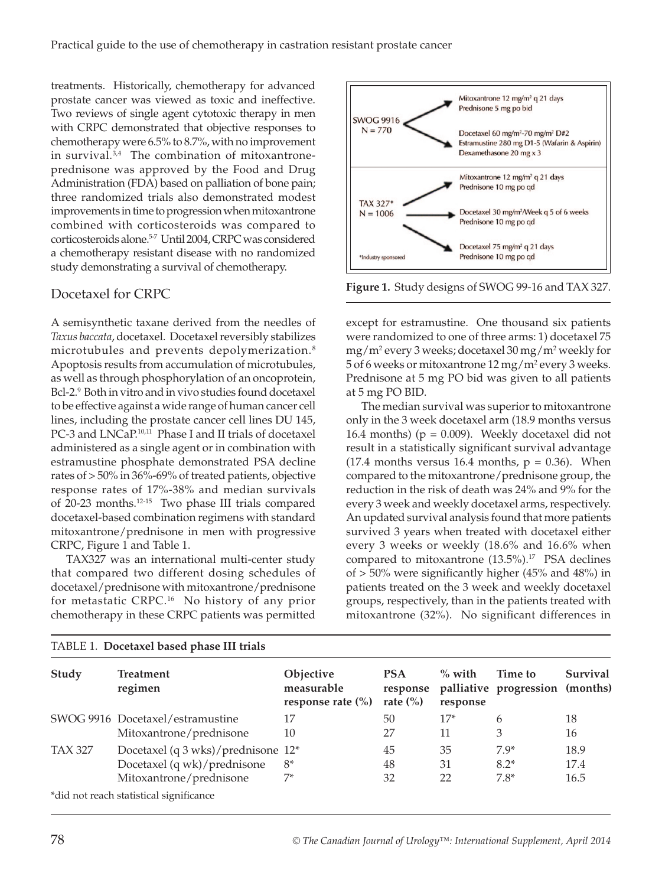treatments. Historically, chemotherapy for advanced prostate cancer was viewed as toxic and ineffective. Two reviews of single agent cytotoxic therapy in men with CRPC demonstrated that objective responses to chemotherapy were 6.5% to 8.7%, with no improvement in survival. $3,4$  The combination of mitoxantroneprednisone was approved by the Food and Drug Administration (FDA) based on palliation of bone pain; three randomized trials also demonstrated modest improvements in time to progression when mitoxantrone combined with corticosteroids was compared to corticosteroids alone.5-7 Until 2004, CRPC was considered a chemotherapy resistant disease with no randomized study demonstrating a survival of chemotherapy.

## Docetaxel for CRPC

A semisynthetic taxane derived from the needles of *Taxus baccata*, docetaxel. Docetaxel reversibly stabilizes microtubules and prevents depolymerization. <sup>8</sup> Apoptosis results from accumulation of microtubules, as well as through phosphorylation of an oncoprotein, Bcl-2.9 Both in vitro and in vivo studies found docetaxel to be effective against a wide range of human cancer cell lines, including the prostate cancer cell lines DU 145, PC-3 and LNCaP.<sup>10,11</sup> Phase I and II trials of docetaxel administered as a single agent or in combination with estramustine phosphate demonstrated PSA decline rates of > 50% in 36%-69% of treated patients, objective response rates of 17%-38% and median survivals of 20-23 months.12-15 Two phase III trials compared docetaxel-based combination regimens with standard mitoxantrone/prednisone in men with progressive CRPC, Figure 1 and Table 1.

TAX327 was an international multi-center study that compared two different dosing schedules of docetaxel/prednisone with mitoxantrone/prednisone for metastatic CRPC.16 No history of any prior chemotherapy in these CRPC patients was permitted





except for estramustine. One thousand six patients were randomized to one of three arms: 1) docetaxel 75 mg/m2 every 3 weeks; docetaxel 30 mg/m2 weekly for 5 of 6 weeks or mitoxantrone 12 mg/m<sup>2</sup> every 3 weeks. Prednisone at 5 mg PO bid was given to all patients at 5 mg PO BID.

The median survival was superior to mitoxantrone only in the 3 week docetaxel arm (18.9 months versus 16.4 months) ( $p = 0.009$ ). Weekly docetaxel did not result in a statistically significant survival advantage (17.4 months versus 16.4 months,  $p = 0.36$ ). When compared to the mitoxantrone/prednisone group, the reduction in the risk of death was 24% and 9% for the every 3 week and weekly docetaxel arms, respectively. An updated survival analysis found that more patients survived 3 years when treated with docetaxel either every 3 weeks or weekly (18.6% and 16.6% when compared to mitoxantrone  $(13.5\%)$ .<sup>17</sup> PSA declines of > 50% were significantly higher (45% and 48%) in patients treated on the 3 week and weekly docetaxel groups, respectively, than in the patients treated with mitoxantrone (32%). No significant differences in

| Study          | <b>Treatment</b><br>regimen                                                                  | Objective<br>measurable<br>response rate $(\% )$ | <b>PSA</b><br>response<br>rate $\left(\%\right)$ | $\%$ with<br>response | Time to<br>palliative progression (months) | Survival             |
|----------------|----------------------------------------------------------------------------------------------|--------------------------------------------------|--------------------------------------------------|-----------------------|--------------------------------------------|----------------------|
|                | SWOG 9916 Docetaxel/estramustine<br>Mitoxantrone/prednisone                                  | 17<br>10                                         | 50<br>27                                         | $17*$<br>11           | 6<br>3                                     | 18<br>16             |
| <b>TAX 327</b> | Docetaxel (q 3 wks)/prednisone 12*<br>Docetaxel (q wk)/prednisone<br>Mitoxantrone/prednisone | $8*$<br>$7*$                                     | 45<br>48<br>32                                   | 35<br>31<br>22        | $7.9*$<br>$8.2*$<br>$7.8*$                 | 18.9<br>17.4<br>16.5 |
|                | *did not reach statistical significance                                                      |                                                  |                                                  |                       |                                            |                      |

#### TABLE 1. **Docetaxel based phase III trials**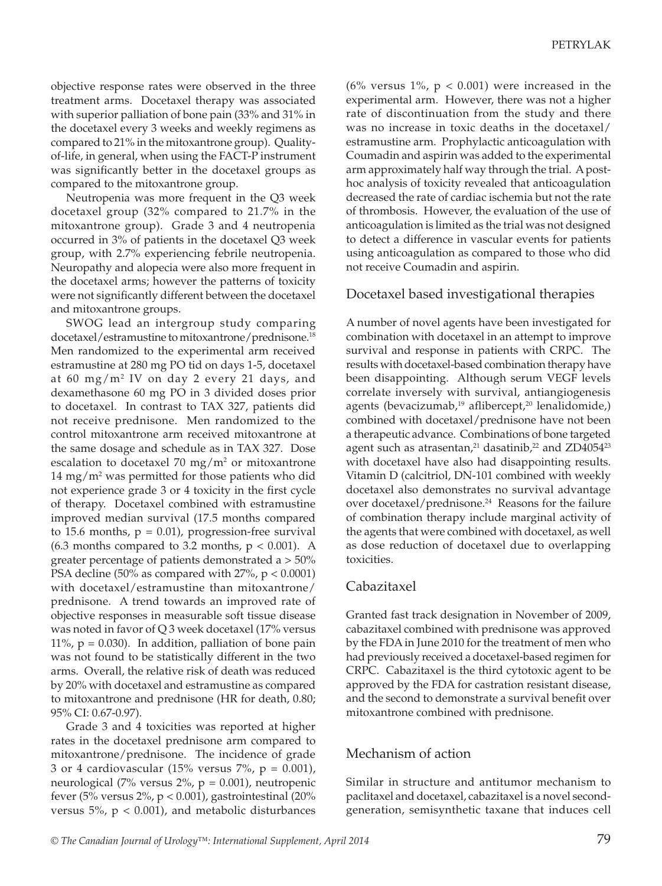objective response rates were observed in the three treatment arms. Docetaxel therapy was associated with superior palliation of bone pain (33% and 31% in the docetaxel every 3 weeks and weekly regimens as compared to 21% in the mitoxantrone group). Qualityof-life, in general, when using the FACT-P instrument was significantly better in the docetaxel groups as compared to the mitoxantrone group.

Neutropenia was more frequent in the Q3 week docetaxel group (32% compared to 21.7% in the mitoxantrone group). Grade 3 and 4 neutropenia occurred in 3% of patients in the docetaxel Q3 week group, with 2.7% experiencing febrile neutropenia. Neuropathy and alopecia were also more frequent in the docetaxel arms; however the patterns of toxicity were not significantly different between the docetaxel and mitoxantrone groups.

SWOG lead an intergroup study comparing docetaxel/estramustine to mitoxantrone/prednisone.18 Men randomized to the experimental arm received estramustine at 280 mg PO tid on days 1-5, docetaxel at 60 mg/m2 IV on day 2 every 21 days, and dexamethasone 60 mg PO in 3 divided doses prior to docetaxel. In contrast to TAX 327, patients did not receive prednisone. Men randomized to the control mitoxantrone arm received mitoxantrone at the same dosage and schedule as in TAX 327. Dose escalation to docetaxel  $70 \text{ mg/m}^2$  or mitoxantrone  $14 \text{ mg/m}^2$  was permitted for those patients who did not experience grade 3 or 4 toxicity in the first cycle of therapy. Docetaxel combined with estramustine improved median survival (17.5 months compared to 15.6 months,  $p = 0.01$ ), progression-free survival  $(6.3 \text{ months compared to } 3.2 \text{ months}, p < 0.001)$ . A greater percentage of patients demonstrated a > 50% PSA decline (50% as compared with  $27\%$ ,  $p < 0.0001$ ) with docetaxel/estramustine than mitoxantrone/ prednisone. A trend towards an improved rate of objective responses in measurable soft tissue disease was noted in favor of Q 3 week docetaxel (17% versus 11%,  $p = 0.030$ . In addition, palliation of bone pain was not found to be statistically different in the two arms. Overall, the relative risk of death was reduced by 20% with docetaxel and estramustine as compared to mitoxantrone and prednisone (HR for death, 0.80; 95% CI: 0.67-0.97).

Grade 3 and 4 toxicities was reported at higher rates in the docetaxel prednisone arm compared to mitoxantrone/prednisone. The incidence of grade 3 or 4 cardiovascular (15% versus  $7\%$ ,  $p = 0.001$ ), neurological (7% versus  $2\%$ , p = 0.001), neutropenic fever (5% versus  $2\%$ , p < 0.001), gastrointestinal (20%) versus 5%,  $p < 0.001$ ), and metabolic disturbances

(6% versus 1%,  $p < 0.001$ ) were increased in the experimental arm. However, there was not a higher rate of discontinuation from the study and there was no increase in toxic deaths in the docetaxel/ estramustine arm. Prophylactic anticoagulation with Coumadin and aspirin was added to the experimental arm approximately half way through the trial. A posthoc analysis of toxicity revealed that anticoagulation decreased the rate of cardiac ischemia but not the rate of thrombosis. However, the evaluation of the use of anticoagulation is limited as the trial was not designed to detect a difference in vascular events for patients using anticoagulation as compared to those who did not receive Coumadin and aspirin.

#### Docetaxel based investigational therapies

A number of novel agents have been investigated for combination with docetaxel in an attempt to improve survival and response in patients with CRPC. The results with docetaxel-based combination therapy have been disappointing. Although serum VEGF levels correlate inversely with survival, antiangiogenesis agents (bevacizumab, $19$  aflibercept, $20$  lenalidomide,) combined with docetaxel/prednisone have not been a therapeutic advance. Combinations of bone targeted agent such as atrasentan, $21$  dasatinib, $22$  and ZD4054 $23$ with docetaxel have also had disappointing results. Vitamin D (calcitriol, DN-101 combined with weekly docetaxel also demonstrates no survival advantage over docetaxel/prednisone.<sup>24</sup> Reasons for the failure of combination therapy include marginal activity of the agents that were combined with docetaxel, as well as dose reduction of docetaxel due to overlapping toxicities.

### Cabazitaxel

Granted fast track designation in November of 2009, cabazitaxel combined with prednisone was approved by the FDA in June 2010 for the treatment of men who had previously received a docetaxel-based regimen for CRPC. Cabazitaxel is the third cytotoxic agent to be approved by the FDA for castration resistant disease, and the second to demonstrate a survival benefit over mitoxantrone combined with prednisone.

### Mechanism of action

Similar in structure and antitumor mechanism to paclitaxel and docetaxel, cabazitaxel is a novel secondgeneration, semisynthetic taxane that induces cell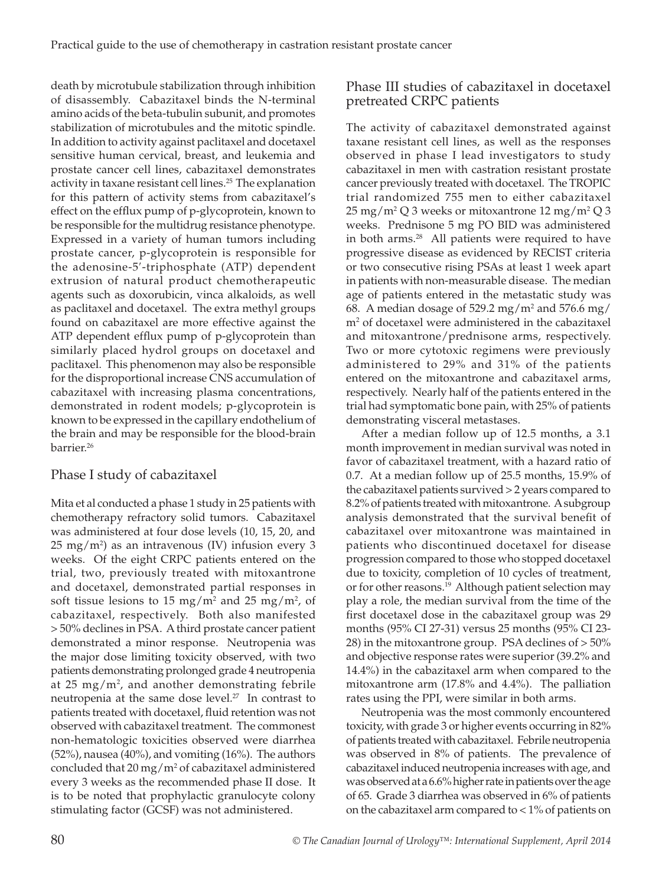death by microtubule stabilization through inhibition of disassembly. Cabazitaxel binds the N-terminal amino acids of the beta-tubulin subunit, and promotes stabilization of microtubules and the mitotic spindle. In addition to activity against paclitaxel and docetaxel sensitive human cervical, breast, and leukemia and prostate cancer cell lines, cabazitaxel demonstrates activity in taxane resistant cell lines.<sup>25</sup> The explanation for this pattern of activity stems from cabazitaxel's effect on the efflux pump of p-glycoprotein, known to be responsible for the multidrug resistance phenotype. Expressed in a variety of human tumors including prostate cancer, p-glycoprotein is responsible for the adenosine-5′-triphosphate (ATP) dependent extrusion of natural product chemotherapeutic agents such as doxorubicin, vinca alkaloids, as well as paclitaxel and docetaxel. The extra methyl groups found on cabazitaxel are more effective against the ATP dependent efflux pump of p-glycoprotein than similarly placed hydrol groups on docetaxel and paclitaxel. This phenomenon may also be responsible for the disproportional increase CNS accumulation of cabazitaxel with increasing plasma concentrations, demonstrated in rodent models; p-glycoprotein is known to be expressed in the capillary endothelium of the brain and may be responsible for the blood-brain barrier.26

# Phase I study of cabazitaxel

Mita et al conducted a phase 1 study in 25 patients with chemotherapy refractory solid tumors. Cabazitaxel was administered at four dose levels (10, 15, 20, and  $25 \text{ mg/m}^2$ ) as an intravenous (IV) infusion every 3 weeks. Of the eight CRPC patients entered on the trial, two, previously treated with mitoxantrone and docetaxel, demonstrated partial responses in soft tissue lesions to 15 mg/m<sup>2</sup> and 25 mg/m<sup>2</sup>, of cabazitaxel, respectively. Both also manifested > 50% declines in PSA. A third prostate cancer patient demonstrated a minor response. Neutropenia was the major dose limiting toxicity observed, with two patients demonstrating prolonged grade 4 neutropenia at  $25 \text{ mg/m}^2$ , and another demonstrating febrile neutropenia at the same dose level.<sup>27</sup> In contrast to patients treated with docetaxel, fluid retention was not observed with cabazitaxel treatment. The commonest non-hematologic toxicities observed were diarrhea (52%), nausea (40%), and vomiting (16%). The authors concluded that  $20 \,\mathrm{mg/m^2}$  of cabazitaxel administered every 3 weeks as the recommended phase II dose. It is to be noted that prophylactic granulocyte colony stimulating factor (GCSF) was not administered.

# Phase III studies of cabazitaxel in docetaxel pretreated CRPC patients

The activity of cabazitaxel demonstrated against taxane resistant cell lines, as well as the responses observed in phase I lead investigators to study cabazitaxel in men with castration resistant prostate cancer previously treated with docetaxel. The TROPIC trial randomized 755 men to either cabazitaxel  $25 \,\mathrm{mg/m^2\,Q\,3}$  weeks or mitoxantrone  $12 \,\mathrm{mg/m^2\,Q\,3}$ weeks. Prednisone 5 mg PO BID was administered in both arms.<sup>28</sup> All patients were required to have progressive disease as evidenced by RECIST criteria or two consecutive rising PSAs at least 1 week apart in patients with non-measurable disease. The median age of patients entered in the metastatic study was 68. A median dosage of  $529.2 \text{ mg/m}^2$  and  $576.6 \text{ mg}/$ m2 of docetaxel were administered in the cabazitaxel and mitoxantrone/prednisone arms, respectively. Two or more cytotoxic regimens were previously administered to 29% and 31% of the patients entered on the mitoxantrone and cabazitaxel arms, respectively. Nearly half of the patients entered in the trial had symptomatic bone pain, with 25% of patients demonstrating visceral metastases.

After a median follow up of 12.5 months, a 3.1 month improvement in median survival was noted in favor of cabazitaxel treatment, with a hazard ratio of 0.7. At a median follow up of 25.5 months, 15.9% of the cabazitaxel patients survived > 2 years compared to 8.2% of patients treated with mitoxantrone. A subgroup analysis demonstrated that the survival benefit of cabazitaxel over mitoxantrone was maintained in patients who discontinued docetaxel for disease progression compared to those who stopped docetaxel due to toxicity, completion of 10 cycles of treatment, or for other reasons.<sup>19</sup> Although patient selection may play a role, the median survival from the time of the first docetaxel dose in the cabazitaxel group was 29 months (95% CI 27-31) versus 25 months (95% CI 23- 28) in the mitoxantrone group. PSA declines of > 50% and objective response rates were superior (39.2% and 14.4%) in the cabazitaxel arm when compared to the mitoxantrone arm (17.8% and 4.4%). The palliation rates using the PPI, were similar in both arms.

Neutropenia was the most commonly encountered toxicity, with grade 3 or higher events occurring in 82% of patients treated with cabazitaxel. Febrile neutropenia was observed in 8% of patients. The prevalence of cabazitaxel induced neutropenia increases with age, and was observed at a 6.6% higher rate in patients over the age of 65. Grade 3 diarrhea was observed in 6% of patients on the cabazitaxel arm compared to < 1% of patients on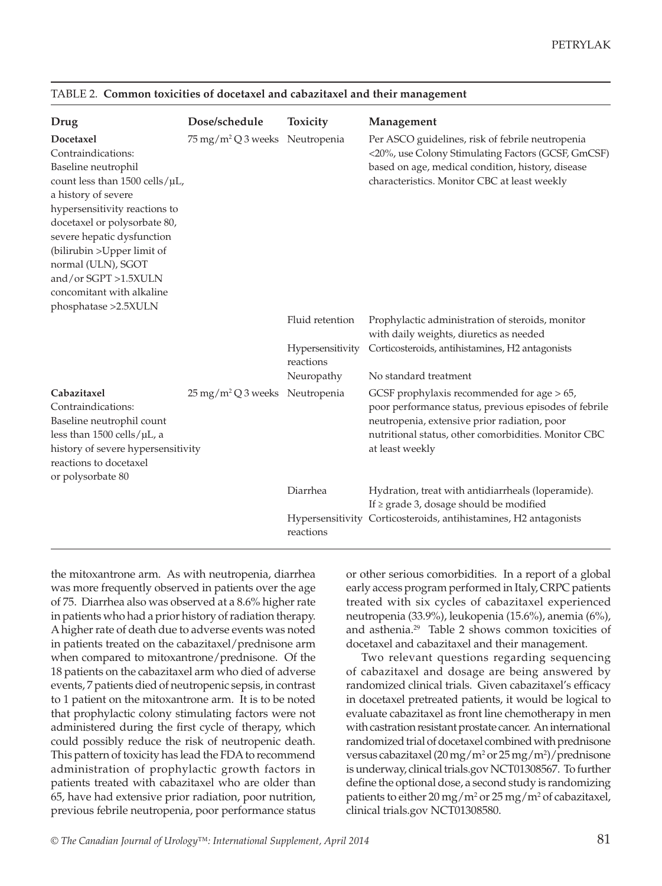| Drug                                                                                                                                                                                                                                                                                                                                             | Dose/schedule                                | <b>Toxicity</b>               | Management                                                                                                                                                                                                                        |
|--------------------------------------------------------------------------------------------------------------------------------------------------------------------------------------------------------------------------------------------------------------------------------------------------------------------------------------------------|----------------------------------------------|-------------------------------|-----------------------------------------------------------------------------------------------------------------------------------------------------------------------------------------------------------------------------------|
| Docetaxel<br>Contraindications:<br>Baseline neutrophil<br>count less than 1500 cells/µL,<br>a history of severe<br>hypersensitivity reactions to<br>docetaxel or polysorbate 80,<br>severe hepatic dysfunction<br>(bilirubin > Upper limit of<br>normal (ULN), SGOT<br>and/or SGPT >1.5XULN<br>concomitant with alkaline<br>phosphatase >2.5XULN | 75 mg/m <sup>2</sup> Q 3 weeks Neutropenia   |                               | Per ASCO guidelines, risk of febrile neutropenia<br><20%, use Colony Stimulating Factors (GCSF, GmCSF)<br>based on age, medical condition, history, disease<br>characteristics. Monitor CBC at least weekly                       |
|                                                                                                                                                                                                                                                                                                                                                  |                                              | Fluid retention               | Prophylactic administration of steroids, monitor<br>with daily weights, diuretics as needed                                                                                                                                       |
|                                                                                                                                                                                                                                                                                                                                                  |                                              | Hypersensitivity<br>reactions | Corticosteroids, antihistamines, H2 antagonists                                                                                                                                                                                   |
|                                                                                                                                                                                                                                                                                                                                                  |                                              | Neuropathy                    | No standard treatment                                                                                                                                                                                                             |
| Cabazitaxel<br>Contraindications:<br>Baseline neutrophil count<br>less than $1500$ cells/ $\mu$ L, a<br>history of severe hypersensitivity<br>reactions to docetaxel<br>or polysorbate 80                                                                                                                                                        | $25 \,\mathrm{mg/m^2 Q}$ 3 weeks Neutropenia |                               | GCSF prophylaxis recommended for age $> 65$ ,<br>poor performance status, previous episodes of febrile<br>neutropenia, extensive prior radiation, poor<br>nutritional status, other comorbidities. Monitor CBC<br>at least weekly |
|                                                                                                                                                                                                                                                                                                                                                  |                                              | Diarrhea                      | Hydration, treat with antidiarrheals (loperamide).<br>If $\ge$ grade 3, dosage should be modified                                                                                                                                 |
|                                                                                                                                                                                                                                                                                                                                                  |                                              | reactions                     | Hypersensitivity Corticosteroids, antihistamines, H2 antagonists                                                                                                                                                                  |

#### TABLE 2. **Common toxicities of docetaxel and cabazitaxel and their management**

the mitoxantrone arm. As with neutropenia, diarrhea was more frequently observed in patients over the age of 75. Diarrhea also was observed at a 8.6% higher rate in patients who had a prior history of radiation therapy. A higher rate of death due to adverse events was noted in patients treated on the cabazitaxel/prednisone arm when compared to mitoxantrone/prednisone. Of the 18 patients on the cabazitaxel arm who died of adverse events, 7 patients died of neutropenic sepsis, in contrast to 1 patient on the mitoxantrone arm. It is to be noted that prophylactic colony stimulating factors were not administered during the first cycle of therapy, which could possibly reduce the risk of neutropenic death. This pattern of toxicity has lead the FDA to recommend administration of prophylactic growth factors in patients treated with cabazitaxel who are older than 65, have had extensive prior radiation, poor nutrition, previous febrile neutropenia, poor performance status

or other serious comorbidities. In a report of a global early access program performed in Italy, CRPC patients treated with six cycles of cabazitaxel experienced neutropenia (33.9%), leukopenia (15.6%), anemia (6%), and asthenia.<sup>29</sup> Table 2 shows common toxicities of docetaxel and cabazitaxel and their management.

Two relevant questions regarding sequencing of cabazitaxel and dosage are being answered by randomized clinical trials. Given cabazitaxel's efficacy in docetaxel pretreated patients, it would be logical to evaluate cabazitaxel as front line chemotherapy in men with castration resistant prostate cancer. An international randomized trial of docetaxel combined with prednisone versus cabazitaxel  $(20 \,\text{mg/m}^2 \text{ or } 25 \,\text{mg/m}^2)/\text{prednisone}$ is underway, clinical trials.gov NCT01308567. To further define the optional dose, a second study is randomizing patients to either  $20 \,\mathrm{mg/m^2}$  or  $25 \,\mathrm{mg/m^2}$  of cabazitaxel, clinical trials.gov NCT01308580.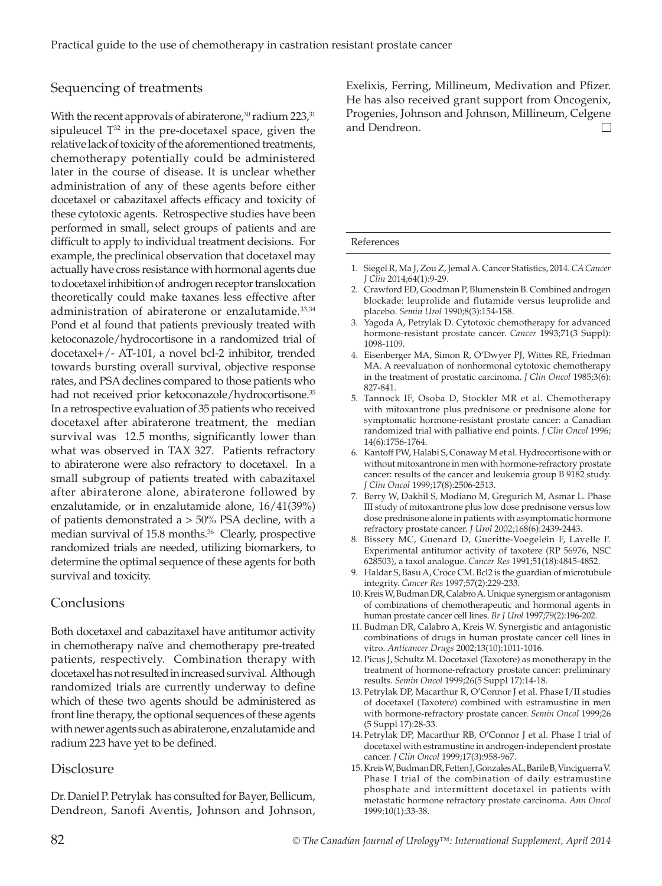## Sequencing of treatments

With the recent approvals of abiraterone, $30$  radium 223, $31$ sipuleucel  $T^{32}$  in the pre-docetaxel space, given the relative lack of toxicity of the aforementioned treatments, chemotherapy potentially could be administered later in the course of disease. It is unclear whether administration of any of these agents before either docetaxel or cabazitaxel affects efficacy and toxicity of these cytotoxic agents. Retrospective studies have been performed in small, select groups of patients and are difficult to apply to individual treatment decisions. For example, the preclinical observation that docetaxel may actually have cross resistance with hormonal agents due to docetaxel inhibition of androgen receptor translocation theoretically could make taxanes less effective after administration of abiraterone or enzalutamide.<sup>33,34</sup> Pond et al found that patients previously treated with ketoconazole/hydrocortisone in a randomized trial of docetaxel+/- AT-101, a novel bcl-2 inhibitor, trended towards bursting overall survival, objective response rates, and PSA declines compared to those patients who had not received prior ketoconazole/hydrocortisone.<sup>35</sup> In a retrospective evaluation of 35 patients who received docetaxel after abiraterone treatment, the median survival was 12.5 months, significantly lower than what was observed in TAX 327. Patients refractory to abiraterone were also refractory to docetaxel. In a small subgroup of patients treated with cabazitaxel after abiraterone alone, abiraterone followed by enzalutamide, or in enzalutamide alone, 16/41(39%) of patients demonstrated a > 50% PSA decline, with a median survival of 15.8 months.<sup>36</sup> Clearly, prospective randomized trials are needed, utilizing biomarkers, to determine the optimal sequence of these agents for both survival and toxicity.

# Conclusions

Both docetaxel and cabazitaxel have antitumor activity in chemotherapy naïve and chemotherapy pre-treated patients, respectively. Combination therapy with docetaxel has not resulted in increased survival. Although randomized trials are currently underway to define which of these two agents should be administered as front line therapy, the optional sequences of these agents with newer agents such as abiraterone, enzalutamide and radium 223 have yet to be defined.

# **Disclosure**

Dr. Daniel P. Petrylak has consulted for Bayer, Bellicum, Dendreon, Sanofi Aventis, Johnson and Johnson, Exelixis, Ferring, Millineum, Medivation and Pfizer. He has also received grant support from Oncogenix, Progenies, Johnson and Johnson, Millineum, Celgene and Dendreon. $\Box$ 

#### References

- 1. Siegel R, Ma J, Zou Z, Jemal A. Cancer Statistics, 2014. *CA Cancer J Clin* 2014;64(1):9-29.
- 2. Crawford ED, Goodman P, Blumenstein B. Combined androgen blockade: leuprolide and flutamide versus leuprolide and placebo. *Semin Urol* 1990;8(3):154-158.
- 3. Yagoda A, Petrylak D. Cytotoxic chemotherapy for advanced hormone-resistant prostate cancer. *Cancer* 1993;71(3 Suppl): 1098-1109.
- 4. Eisenberger MA, Simon R, O'Dwyer PJ, Wittes RE, Friedman MA. A reevaluation of nonhormonal cytotoxic chemotherapy in the treatment of prostatic carcinoma. *J Clin Oncol* 1985;3(6): 827-841.
- 5. Tannock IF, Osoba D, Stockler MR et al. Chemotherapy with mitoxantrone plus prednisone or prednisone alone for symptomatic hormone-resistant prostate cancer: a Canadian randomized trial with palliative end points. *J Clin Oncol* 1996; 14(6):1756-1764.
- 6. Kantoff PW, Halabi S, Conaway M et al. Hydrocortisone with or without mitoxantrone in men with hormone-refractory prostate cancer: results of the cancer and leukemia group B 9182 study. *J Clin Oncol* 1999;17(8):2506-2513.
- 7. Berry W, Dakhil S, Modiano M, Gregurich M, Asmar L. Phase III study of mitoxantrone plus low dose prednisone versus low dose prednisone alone in patients with asymptomatic hormone refractory prostate cancer. *J Urol* 2002;168(6):2439-2443.
- 8. Bissery MC, Guenard D, Gueritte-Voegelein F, Lavelle F. Experimental antitumor activity of taxotere (RP 56976, NSC 628503), a taxol analogue. *Cancer Res* 1991;51(18):4845-4852.
- 9. Haldar S, Basu A, Croce CM. Bcl2 is the guardian of microtubule integrity. *Cancer Res* 1997;57(2):229-233.
- 10. Kreis W, Budman DR, Calabro A. Unique synergism or antagonism of combinations of chemotherapeutic and hormonal agents in human prostate cancer cell lines. *Br J Urol* 1997;79(2):196-202.
- 11. Budman DR, Calabro A, Kreis W. Synergistic and antagonistic combinations of drugs in human prostate cancer cell lines in vitro. *Anticancer Drugs* 2002;13(10):1011-1016.
- 12. Picus J, Schultz M. Docetaxel (Taxotere) as monotherapy in the treatment of hormone-refractory prostate cancer: preliminary results. *Semin Oncol* 1999;26(5 Suppl 17):14-18.
- 13. Petrylak DP, Macarthur R, O'Connor J et al. Phase I/II studies of docetaxel (Taxotere) combined with estramustine in men with hormone-refractory prostate cancer. *Semin Oncol* 1999;26 (5 Suppl 17):28-33.
- 14. Petrylak DP, Macarthur RB, O'Connor J et al. Phase I trial of docetaxel with estramustine in androgen-independent prostate cancer. *J Clin Oncol* 1999;17(3):958-967.
- 15. Kreis W, Budman DR, Fetten J, Gonzales AL, Barile B, Vinciguerra V. Phase I trial of the combination of daily estramustine phosphate and intermittent docetaxel in patients with metastatic hormone refractory prostate carcinoma. *Ann Oncol*  1999;10(1):33-38.